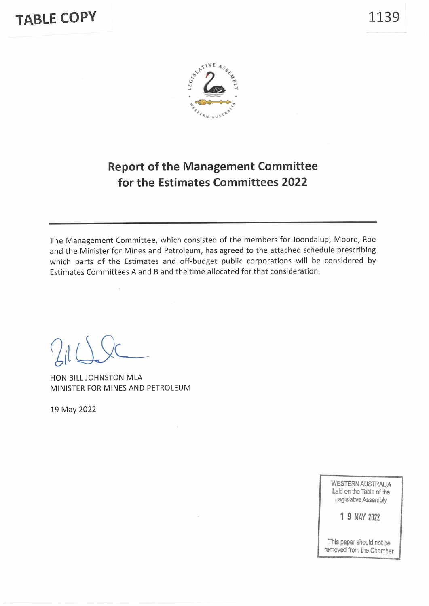# **TABLE COPY**





# **Report of the Management Committee** for the Estimates Committees 2022

The Management Committee, which consisted of the members for Joondalup, Moore, Roe and the Minister for Mines and Petroleum, has agreed to the attached schedule prescribing which parts of the Estimates and off-budget public corporations will be considered by Estimates Committees A and B and the time allocated for that consideration.

HON BILL JOHNSTON MLA MINISTER FOR MINES AND PETROLEUM

19 May 2022

**WESTERN AUSTRALIA** Laid on the Table of the Legislative Assembly

1 9 MAY 2022

This paper should not be removed from the Chamber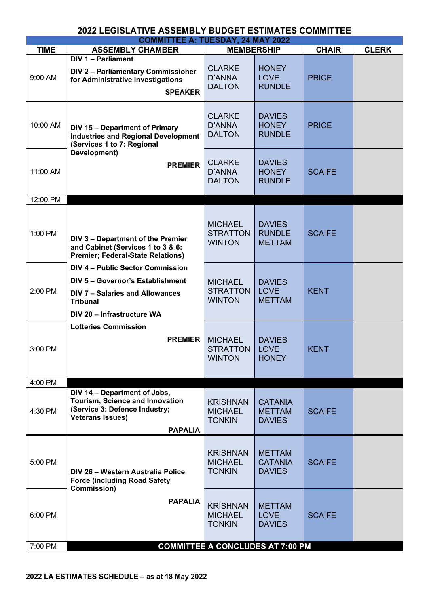| <b>2022 LEGISLATIVE ASSEMBLY BUDGET ESTIMATES COMMITTEE</b> |                                                                                                                                                                 |                                                    |                                                  |               |              |  |
|-------------------------------------------------------------|-----------------------------------------------------------------------------------------------------------------------------------------------------------------|----------------------------------------------------|--------------------------------------------------|---------------|--------------|--|
|                                                             |                                                                                                                                                                 | <b>COMMITTEE A: TUESDAY, 24 MAY 2022</b>           |                                                  |               |              |  |
| <b>TIME</b>                                                 | <b>ASSEMBLY CHAMBER</b>                                                                                                                                         | <b>MEMBERSHIP</b>                                  |                                                  | <b>CHAIR</b>  | <b>CLERK</b> |  |
| $9:00$ AM                                                   | <b>DIV 1 - Parliament</b><br>DIV 2 - Parliamentary Commissioner<br>for Administrative Investigations<br><b>SPEAKER</b>                                          | <b>CLARKE</b><br>D'ANNA<br><b>DALTON</b>           | <b>HONEY</b><br><b>LOVE</b><br><b>RUNDLE</b>     | <b>PRICE</b>  |              |  |
| 10:00 AM                                                    | <b>DIV 15 - Department of Primary</b><br><b>Industries and Regional Development</b><br>(Services 1 to 7: Regional                                               | <b>CLARKE</b><br>D'ANNA<br><b>DALTON</b>           | <b>DAVIES</b><br><b>HONEY</b><br><b>RUNDLE</b>   | <b>PRICE</b>  |              |  |
| 11:00 AM                                                    | Development)<br><b>PREMIER</b>                                                                                                                                  | <b>CLARKE</b><br>D'ANNA<br><b>DALTON</b>           | <b>DAVIES</b><br><b>HONEY</b><br><b>RUNDLE</b>   | <b>SCAIFE</b> |              |  |
| 12:00 PM                                                    |                                                                                                                                                                 |                                                    |                                                  |               |              |  |
| 1:00 PM                                                     | DIV 3 - Department of the Premier<br>and Cabinet (Services 1 to 3 & 6:<br><b>Premier; Federal-State Relations)</b>                                              | <b>MICHAEL</b><br><b>STRATTON</b><br><b>WINTON</b> | <b>DAVIES</b><br><b>RUNDLE</b><br><b>METTAM</b>  | <b>SCAIFE</b> |              |  |
| 2:00 PM                                                     | <b>DIV 4 - Public Sector Commission</b><br>DIV 5 - Governor's Establishment<br>DIV 7 - Salaries and Allowances<br><b>Tribunal</b><br>DIV 20 - Infrastructure WA | <b>MICHAEL</b><br><b>STRATTON</b><br><b>WINTON</b> | <b>DAVIES</b><br><b>LOVE</b><br><b>METTAM</b>    | <b>KENT</b>   |              |  |
| 3:00 PM                                                     | <b>Lotteries Commission</b><br><b>PREMIER</b>                                                                                                                   | <b>MICHAEL</b><br><b>STRATTON</b><br><b>WINTON</b> | <b>DAVIES</b><br><b>LOVE</b><br><b>HONEY</b>     | <b>KENT</b>   |              |  |
| 4:00 PM                                                     |                                                                                                                                                                 |                                                    |                                                  |               |              |  |
| 4:30 PM                                                     | DIV 14 - Department of Jobs,<br>Tourism, Science and Innovation<br>(Service 3: Defence Industry;<br><b>Veterans Issues)</b><br><b>PAPALIA</b>                   | <b>KRISHNAN</b><br><b>MICHAEL</b><br><b>TONKIN</b> | <b>CATANIA</b><br><b>METTAM</b><br><b>DAVIES</b> | <b>SCAIFE</b> |              |  |
| 5:00 PM                                                     | DIV 26 - Western Australia Police<br><b>Force (including Road Safety</b><br><b>Commission)</b>                                                                  | <b>KRISHNAN</b><br><b>MICHAEL</b><br><b>TONKIN</b> | <b>METTAM</b><br><b>CATANIA</b><br><b>DAVIES</b> | <b>SCAIFE</b> |              |  |
| 6:00 PM                                                     | <b>PAPALIA</b>                                                                                                                                                  | <b>KRISHNAN</b><br><b>MICHAEL</b><br><b>TONKIN</b> | <b>METTAM</b><br><b>LOVE</b><br><b>DAVIES</b>    | <b>SCAIFE</b> |              |  |
| 7:00 PM                                                     |                                                                                                                                                                 | <b>COMMITTEE A CONCLUDES AT 7:00 PM</b>            |                                                  |               |              |  |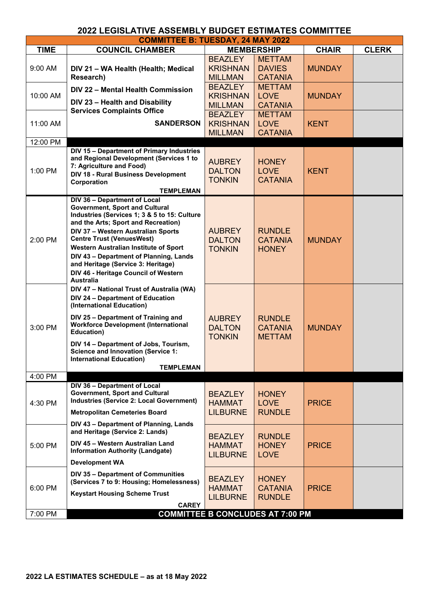| <b>TIME</b><br><b>COUNCIL CHAMBER</b><br><b>CHAIR</b><br><b>MEMBERSHIP</b><br><b>BEAZLEY</b><br><b>METTAM</b><br><b>KRISHNAN</b><br><b>DAVIES</b><br><b>MUNDAY</b><br>9:00 AM<br>DIV 21 - WA Health (Health; Medical<br>Research)<br><b>MILLMAN</b><br><b>CATANIA</b><br><b>BEAZLEY</b><br><b>METTAM</b><br>DIV 22 - Mental Health Commission<br><b>KRISHNAN</b><br><b>LOVE</b><br>10:00 AM<br><b>MUNDAY</b><br>DIV 23 - Health and Disability<br><b>CATANIA</b><br><b>MILLMAN</b><br><b>Services Complaints Office</b><br><b>BEAZLEY</b><br><b>METTAM</b><br><b>SANDERSON</b><br><b>KRISHNAN</b><br><b>LOVE</b><br>11:00 AM<br><b>KENT</b><br><b>MILLMAN</b><br><b>CATANIA</b><br>12:00 PM<br>DIV 15 - Department of Primary Industries<br>and Regional Development (Services 1 to<br><b>AUBREY</b><br><b>HONEY</b><br>7: Agriculture and Food)<br><b>DALTON</b><br><b>LOVE</b><br>1:00 PM<br><b>KENT</b><br>DIV 18 - Rural Business Development<br><b>TONKIN</b><br><b>CATANIA</b><br>Corporation<br><b>TEMPLEMAN</b><br>DIV 36 - Department of Local<br><b>Government, Sport and Cultural</b><br>Industries (Services 1; 3 & 5 to 15: Culture<br>and the Arts; Sport and Recreation)<br><b>AUBREY</b><br><b>RUNDLE</b><br>DIV 37 - Western Australian Sports<br><b>Centre Trust (VenuesWest)</b><br><b>DALTON</b><br><b>MUNDAY</b><br>2:00 PM<br><b>CATANIA</b><br>Western Australian Institute of Sport<br><b>TONKIN</b><br><b>HONEY</b><br>DIV 43 - Department of Planning, Lands<br>and Heritage (Service 3: Heritage)<br>DIV 46 - Heritage Council of Western<br><b>Australia</b><br>DIV 47 - National Trust of Australia (WA)<br>DIV 24 - Department of Education<br>(International Education)<br>DIV 25 - Department of Training and<br><b>AUBREY</b><br><b>RUNDLE</b><br><b>Workforce Development (International</b><br><b>DALTON</b><br>3:00 PM<br><b>CATANIA</b><br><b>MUNDAY</b><br>Education)<br><b>TONKIN</b><br><b>METTAM</b><br>DIV 14 - Department of Jobs, Tourism,<br><b>Science and Innovation (Service 1:</b><br><b>International Education)</b><br><b>TEMPLEMAN</b><br>4:00 PM<br>DIV 36 - Department of Local<br>Government, Sport and Cultural<br><b>BEAZLEY</b><br><b>HONEY</b><br>Industries (Service 2: Local Government)<br>4:30 PM<br><b>LOVE</b><br><b>HAMMAT</b><br><b>PRICE</b><br><b>LILBURNE</b><br><b>RUNDLE</b><br><b>Metropolitan Cemeteries Board</b><br>DIV 43 - Department of Planning, Lands<br>and Heritage (Service 2: Lands)<br><b>RUNDLE</b><br><b>BEAZLEY</b><br>DIV 45 - Western Australian Land<br><b>HAMMAT</b><br><b>HONEY</b><br><b>PRICE</b><br>5:00 PM<br><b>Information Authority (Landgate)</b><br><b>LILBURNE</b><br><b>LOVE</b><br><b>Development WA</b><br>DIV 35 - Department of Communities<br><b>BEAZLEY</b><br><b>HONEY</b><br>(Services 7 to 9: Housing; Homelessness)<br>6:00 PM<br><b>HAMMAT</b><br><b>CATANIA</b><br><b>PRICE</b><br><b>Keystart Housing Scheme Trust</b><br><b>LILBURNE</b><br><b>RUNDLE</b> | <b>COMMITTEE B: TUESDAY, 24 MAY 2022</b> |  |  |  |  |              |  |
|----------------------------------------------------------------------------------------------------------------------------------------------------------------------------------------------------------------------------------------------------------------------------------------------------------------------------------------------------------------------------------------------------------------------------------------------------------------------------------------------------------------------------------------------------------------------------------------------------------------------------------------------------------------------------------------------------------------------------------------------------------------------------------------------------------------------------------------------------------------------------------------------------------------------------------------------------------------------------------------------------------------------------------------------------------------------------------------------------------------------------------------------------------------------------------------------------------------------------------------------------------------------------------------------------------------------------------------------------------------------------------------------------------------------------------------------------------------------------------------------------------------------------------------------------------------------------------------------------------------------------------------------------------------------------------------------------------------------------------------------------------------------------------------------------------------------------------------------------------------------------------------------------------------------------------------------------------------------------------------------------------------------------------------------------------------------------------------------------------------------------------------------------------------------------------------------------------------------------------------------------------------------------------------------------------------------------------------------------------------------------------------------------------------------------------------------------------------------------------------------------------------------------------------------------------------------------------------------------------------------------------------------------------------------------------------------------------------------------------------------------------------------------------------------------------------------------------------------------------------------------------------------------------------------------------------------------------------------------------|------------------------------------------|--|--|--|--|--------------|--|
|                                                                                                                                                                                                                                                                                                                                                                                                                                                                                                                                                                                                                                                                                                                                                                                                                                                                                                                                                                                                                                                                                                                                                                                                                                                                                                                                                                                                                                                                                                                                                                                                                                                                                                                                                                                                                                                                                                                                                                                                                                                                                                                                                                                                                                                                                                                                                                                                                                                                                                                                                                                                                                                                                                                                                                                                                                                                                                                                                                                  |                                          |  |  |  |  | <b>CLERK</b> |  |
|                                                                                                                                                                                                                                                                                                                                                                                                                                                                                                                                                                                                                                                                                                                                                                                                                                                                                                                                                                                                                                                                                                                                                                                                                                                                                                                                                                                                                                                                                                                                                                                                                                                                                                                                                                                                                                                                                                                                                                                                                                                                                                                                                                                                                                                                                                                                                                                                                                                                                                                                                                                                                                                                                                                                                                                                                                                                                                                                                                                  |                                          |  |  |  |  |              |  |
|                                                                                                                                                                                                                                                                                                                                                                                                                                                                                                                                                                                                                                                                                                                                                                                                                                                                                                                                                                                                                                                                                                                                                                                                                                                                                                                                                                                                                                                                                                                                                                                                                                                                                                                                                                                                                                                                                                                                                                                                                                                                                                                                                                                                                                                                                                                                                                                                                                                                                                                                                                                                                                                                                                                                                                                                                                                                                                                                                                                  |                                          |  |  |  |  |              |  |
|                                                                                                                                                                                                                                                                                                                                                                                                                                                                                                                                                                                                                                                                                                                                                                                                                                                                                                                                                                                                                                                                                                                                                                                                                                                                                                                                                                                                                                                                                                                                                                                                                                                                                                                                                                                                                                                                                                                                                                                                                                                                                                                                                                                                                                                                                                                                                                                                                                                                                                                                                                                                                                                                                                                                                                                                                                                                                                                                                                                  |                                          |  |  |  |  |              |  |
|                                                                                                                                                                                                                                                                                                                                                                                                                                                                                                                                                                                                                                                                                                                                                                                                                                                                                                                                                                                                                                                                                                                                                                                                                                                                                                                                                                                                                                                                                                                                                                                                                                                                                                                                                                                                                                                                                                                                                                                                                                                                                                                                                                                                                                                                                                                                                                                                                                                                                                                                                                                                                                                                                                                                                                                                                                                                                                                                                                                  |                                          |  |  |  |  |              |  |
|                                                                                                                                                                                                                                                                                                                                                                                                                                                                                                                                                                                                                                                                                                                                                                                                                                                                                                                                                                                                                                                                                                                                                                                                                                                                                                                                                                                                                                                                                                                                                                                                                                                                                                                                                                                                                                                                                                                                                                                                                                                                                                                                                                                                                                                                                                                                                                                                                                                                                                                                                                                                                                                                                                                                                                                                                                                                                                                                                                                  |                                          |  |  |  |  |              |  |
|                                                                                                                                                                                                                                                                                                                                                                                                                                                                                                                                                                                                                                                                                                                                                                                                                                                                                                                                                                                                                                                                                                                                                                                                                                                                                                                                                                                                                                                                                                                                                                                                                                                                                                                                                                                                                                                                                                                                                                                                                                                                                                                                                                                                                                                                                                                                                                                                                                                                                                                                                                                                                                                                                                                                                                                                                                                                                                                                                                                  |                                          |  |  |  |  |              |  |
|                                                                                                                                                                                                                                                                                                                                                                                                                                                                                                                                                                                                                                                                                                                                                                                                                                                                                                                                                                                                                                                                                                                                                                                                                                                                                                                                                                                                                                                                                                                                                                                                                                                                                                                                                                                                                                                                                                                                                                                                                                                                                                                                                                                                                                                                                                                                                                                                                                                                                                                                                                                                                                                                                                                                                                                                                                                                                                                                                                                  |                                          |  |  |  |  |              |  |
|                                                                                                                                                                                                                                                                                                                                                                                                                                                                                                                                                                                                                                                                                                                                                                                                                                                                                                                                                                                                                                                                                                                                                                                                                                                                                                                                                                                                                                                                                                                                                                                                                                                                                                                                                                                                                                                                                                                                                                                                                                                                                                                                                                                                                                                                                                                                                                                                                                                                                                                                                                                                                                                                                                                                                                                                                                                                                                                                                                                  |                                          |  |  |  |  |              |  |
|                                                                                                                                                                                                                                                                                                                                                                                                                                                                                                                                                                                                                                                                                                                                                                                                                                                                                                                                                                                                                                                                                                                                                                                                                                                                                                                                                                                                                                                                                                                                                                                                                                                                                                                                                                                                                                                                                                                                                                                                                                                                                                                                                                                                                                                                                                                                                                                                                                                                                                                                                                                                                                                                                                                                                                                                                                                                                                                                                                                  |                                          |  |  |  |  |              |  |
|                                                                                                                                                                                                                                                                                                                                                                                                                                                                                                                                                                                                                                                                                                                                                                                                                                                                                                                                                                                                                                                                                                                                                                                                                                                                                                                                                                                                                                                                                                                                                                                                                                                                                                                                                                                                                                                                                                                                                                                                                                                                                                                                                                                                                                                                                                                                                                                                                                                                                                                                                                                                                                                                                                                                                                                                                                                                                                                                                                                  |                                          |  |  |  |  |              |  |
| <b>CAREY</b><br><b>COMMITTEE B CONCLUDES AT 7:00 PM</b><br>7:00 PM                                                                                                                                                                                                                                                                                                                                                                                                                                                                                                                                                                                                                                                                                                                                                                                                                                                                                                                                                                                                                                                                                                                                                                                                                                                                                                                                                                                                                                                                                                                                                                                                                                                                                                                                                                                                                                                                                                                                                                                                                                                                                                                                                                                                                                                                                                                                                                                                                                                                                                                                                                                                                                                                                                                                                                                                                                                                                                               |                                          |  |  |  |  |              |  |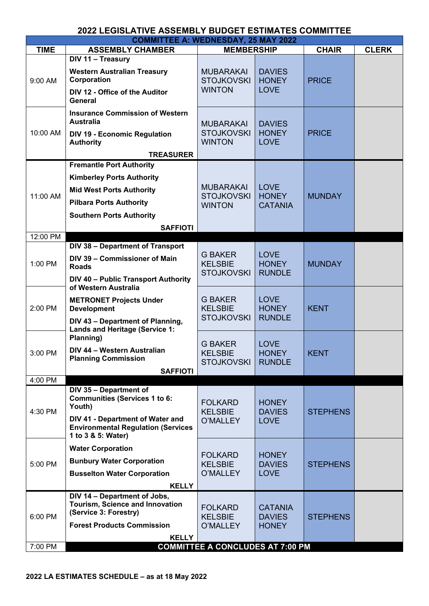| <b>COMMITTEE A: WEDNESDAY, 25 MAY 2022</b> |                                                                                                                                           |                                                        |                                              |                 |              |  |
|--------------------------------------------|-------------------------------------------------------------------------------------------------------------------------------------------|--------------------------------------------------------|----------------------------------------------|-----------------|--------------|--|
| <b>TIME</b>                                | <b>ASSEMBLY CHAMBER</b>                                                                                                                   | <b>MEMBERSHIP</b>                                      |                                              | <b>CHAIR</b>    | <b>CLERK</b> |  |
| 9:00 AM                                    | DIV 11 - Treasury<br><b>Western Australian Treasury</b><br>Corporation<br>DIV 12 - Office of the Auditor<br><b>General</b>                | <b>MUBARAKAI</b><br><b>STOJKOVSKI</b><br><b>WINTON</b> | <b>DAVIES</b><br><b>HONEY</b><br><b>LOVE</b> | <b>PRICE</b>    |              |  |
| 10:00 AM                                   | <b>Insurance Commission of Western</b><br><b>Australia</b><br><b>DIV 19 - Economic Regulation</b><br><b>Authority</b><br><b>TREASURER</b> | <b>MUBARAKAI</b><br><b>STOJKOVSKI</b><br><b>WINTON</b> | <b>DAVIES</b><br><b>HONEY</b><br><b>LOVE</b> | <b>PRICE</b>    |              |  |
|                                            | <b>Fremantle Port Authority</b>                                                                                                           |                                                        |                                              |                 |              |  |
|                                            |                                                                                                                                           |                                                        |                                              |                 |              |  |
| 11:00 AM                                   | <b>Kimberley Ports Authority</b><br><b>Mid West Ports Authority</b>                                                                       | <b>MUBARAKAI</b><br><b>STOJKOVSKI</b>                  | <b>LOVE</b><br><b>HONEY</b>                  | <b>MUNDAY</b>   |              |  |
|                                            | <b>Pilbara Ports Authority</b>                                                                                                            | <b>WINTON</b>                                          | <b>CATANIA</b>                               |                 |              |  |
|                                            | <b>Southern Ports Authority</b>                                                                                                           |                                                        |                                              |                 |              |  |
|                                            |                                                                                                                                           |                                                        |                                              |                 |              |  |
| 12:00 PM                                   | <b>SAFFIOTI</b>                                                                                                                           |                                                        |                                              |                 |              |  |
|                                            | DIV 38 - Department of Transport                                                                                                          |                                                        |                                              |                 |              |  |
| 1:00 PM                                    | DIV 39 - Commissioner of Main<br><b>Roads</b>                                                                                             | <b>G BAKER</b><br><b>KELSBIE</b><br><b>STOJKOVSKI</b>  | <b>LOVE</b><br><b>HONEY</b><br><b>RUNDLE</b> | <b>MUNDAY</b>   |              |  |
|                                            | DIV 40 - Public Transport Authority<br>of Western Australia                                                                               |                                                        |                                              |                 |              |  |
| 2:00 PM                                    | <b>METRONET Projects Under</b><br><b>Development</b>                                                                                      | <b>G BAKER</b><br><b>KELSBIE</b>                       | <b>LOVE</b><br><b>HONEY</b>                  | <b>KENT</b>     |              |  |
|                                            | DIV 43 - Department of Planning,<br><b>Lands and Heritage (Service 1:</b><br>Planning)                                                    | <b>STOJKOVSKI</b>                                      | <b>RUNDLE</b>                                |                 |              |  |
| 3:00 PM                                    | DIV 44 - Western Australian<br><b>Planning Commission</b>                                                                                 | <b>G BAKER</b><br><b>KELSBIE</b><br><b>STOJKOVSKI</b>  | <b>LOVE</b><br><b>HONEY</b><br><b>RUNDLE</b> | <b>KENT</b>     |              |  |
|                                            | <b>SAFFIOTI</b>                                                                                                                           |                                                        |                                              |                 |              |  |
| 4:00 PM                                    |                                                                                                                                           |                                                        |                                              |                 |              |  |
| 4:30 PM                                    | DIV 35 - Department of<br><b>Communities (Services 1 to 6:</b><br>Youth)<br>DIV 41 - Department of Water and                              | <b>FOLKARD</b><br><b>KELSBIE</b><br>O'MALLEY           | <b>HONEY</b><br><b>DAVIES</b><br><b>LOVE</b> | <b>STEPHENS</b> |              |  |
|                                            | <b>Environmental Regulation (Services</b><br>1 to 3 & 5: Water)                                                                           |                                                        |                                              |                 |              |  |
| 5:00 PM                                    | <b>Water Corporation</b>                                                                                                                  | <b>FOLKARD</b>                                         | <b>HONEY</b>                                 |                 |              |  |
|                                            | <b>Bunbury Water Corporation</b>                                                                                                          | <b>KELSBIE</b>                                         | <b>DAVIES</b>                                | <b>STEPHENS</b> |              |  |
|                                            | <b>Busselton Water Corporation</b>                                                                                                        | O'MALLEY                                               | <b>LOVE</b>                                  |                 |              |  |
|                                            | <b>KELLY</b>                                                                                                                              |                                                        |                                              |                 |              |  |
| 6:00 PM                                    | DIV 14 - Department of Jobs,<br>Tourism, Science and Innovation<br>(Service 3: Forestry)<br><b>Forest Products Commission</b>             | <b>FOLKARD</b><br><b>KELSBIE</b>                       | <b>CATANIA</b><br><b>DAVIES</b>              | <b>STEPHENS</b> |              |  |
|                                            |                                                                                                                                           | O'MALLEY                                               | <b>HONEY</b>                                 |                 |              |  |
| 7:00 PM                                    | <b>KELLY</b>                                                                                                                              | <b>COMMITTEE A CONCLUDES AT 7:00 PM</b>                |                                              |                 |              |  |
|                                            |                                                                                                                                           |                                                        |                                              |                 |              |  |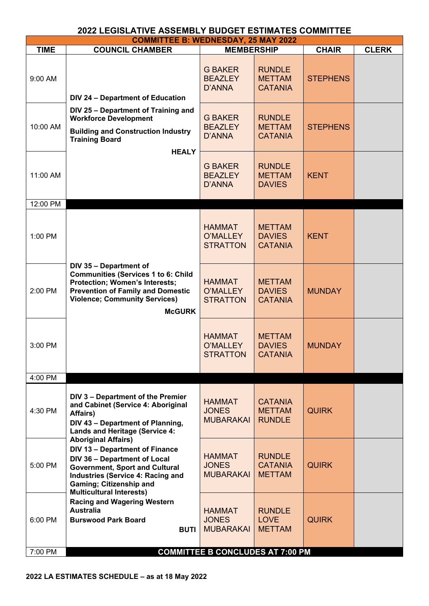| <b>COMMITTEE B: WEDNESDAY, 25 MAY 2022</b> |                                                                                                                                                                                                                                                        |                                                   |                                                  |                 |              |  |
|--------------------------------------------|--------------------------------------------------------------------------------------------------------------------------------------------------------------------------------------------------------------------------------------------------------|---------------------------------------------------|--------------------------------------------------|-----------------|--------------|--|
| <b>TIME</b>                                | <b>COUNCIL CHAMBER</b>                                                                                                                                                                                                                                 | <b>MEMBERSHIP</b>                                 |                                                  | <b>CHAIR</b>    | <b>CLERK</b> |  |
| 9:00 AM                                    | DIV 24 - Department of Education                                                                                                                                                                                                                       | <b>G BAKER</b><br><b>BEAZLEY</b><br>D'ANNA        | <b>RUNDLE</b><br><b>METTAM</b><br><b>CATANIA</b> | <b>STEPHENS</b> |              |  |
| 10:00 AM                                   | DIV 25 - Department of Training and<br><b>Workforce Development</b><br><b>Building and Construction Industry</b><br><b>Training Board</b>                                                                                                              | <b>G BAKER</b><br><b>BEAZLEY</b><br>D'ANNA        | <b>RUNDLE</b><br><b>METTAM</b><br><b>CATANIA</b> | <b>STEPHENS</b> |              |  |
| 11:00 AM                                   | <b>HEALY</b>                                                                                                                                                                                                                                           | <b>G BAKER</b><br><b>BEAZLEY</b><br>D'ANNA        | <b>RUNDLE</b><br><b>METTAM</b><br><b>DAVIES</b>  | <b>KENT</b>     |              |  |
| 12:00 PM<br>1:00 PM                        |                                                                                                                                                                                                                                                        | <b>HAMMAT</b><br>O'MALLEY<br><b>STRATTON</b>      | <b>METTAM</b><br><b>DAVIES</b><br><b>CATANIA</b> | <b>KENT</b>     |              |  |
| 2:00 PM                                    | DIV 35 - Department of<br><b>Communities (Services 1 to 6: Child</b><br><b>Protection; Women's Interests;</b><br><b>Prevention of Family and Domestic</b><br><b>Violence; Community Services)</b><br><b>McGURK</b>                                     | <b>HAMMAT</b><br>O'MALLEY<br><b>STRATTON</b>      | <b>METTAM</b><br><b>DAVIES</b><br><b>CATANIA</b> | <b>MUNDAY</b>   |              |  |
| 3:00 PM                                    |                                                                                                                                                                                                                                                        | <b>HAMMAT</b><br>O'MALLEY<br><b>STRATTON</b>      | <b>METTAM</b><br><b>DAVIES</b><br><b>CATANIA</b> | <b>MUNDAY</b>   |              |  |
| 4:00 PM                                    |                                                                                                                                                                                                                                                        |                                                   |                                                  |                 |              |  |
| 4:30 PM                                    | DIV 3 - Department of the Premier<br>and Cabinet (Service 4: Aboriginal<br>Affairs)<br>DIV 43 - Department of Planning,<br><b>Lands and Heritage (Service 4:</b>                                                                                       | <b>HAMMAT</b><br><b>JONES</b><br><b>MUBARAKAI</b> | <b>CATANIA</b><br><b>METTAM</b><br><b>RUNDLE</b> | <b>QUIRK</b>    |              |  |
| 5:00 PM                                    | <b>Aboriginal Affairs)</b><br><b>DIV 13 - Department of Finance</b><br>DIV 36 - Department of Local<br><b>Government, Sport and Cultural</b><br>Industries (Service 4: Racing and<br><b>Gaming; Citizenship and</b><br><b>Multicultural Interests)</b> | <b>HAMMAT</b><br><b>JONES</b><br><b>MUBARAKAI</b> | <b>RUNDLE</b><br><b>CATANIA</b><br><b>METTAM</b> | <b>QUIRK</b>    |              |  |
| 6:00 PM                                    | <b>Racing and Wagering Western</b><br><b>Australia</b><br><b>Burswood Park Board</b><br><b>BUTI</b>                                                                                                                                                    | <b>HAMMAT</b><br><b>JONES</b><br><b>MUBARAKAI</b> | <b>RUNDLE</b><br><b>LOVE</b><br><b>METTAM</b>    | <b>QUIRK</b>    |              |  |
| 7:00 PM                                    |                                                                                                                                                                                                                                                        | <b>COMMITTEE B CONCLUDES AT 7:00 PM</b>           |                                                  |                 |              |  |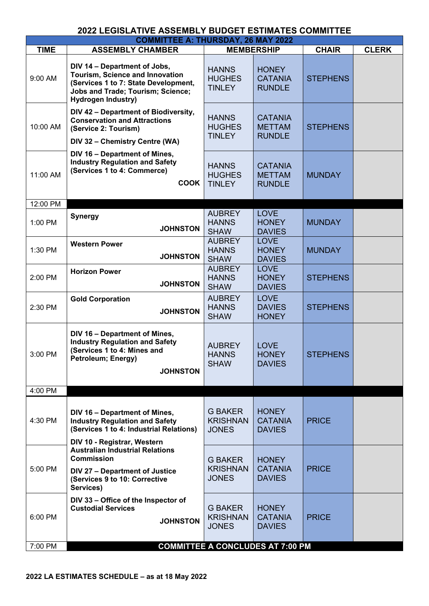| <b>COMMITTEE A: THURSDAY, 26 MAY 2022</b> |                                                                                                                                                                                  |                                                   |                                                  |                 |              |  |
|-------------------------------------------|----------------------------------------------------------------------------------------------------------------------------------------------------------------------------------|---------------------------------------------------|--------------------------------------------------|-----------------|--------------|--|
| <b>TIME</b>                               | <b>ASSEMBLY CHAMBER</b>                                                                                                                                                          |                                                   | <b>MEMBERSHIP</b>                                | <b>CHAIR</b>    | <b>CLERK</b> |  |
| 9:00 AM                                   | DIV 14 - Department of Jobs,<br>Tourism, Science and Innovation<br>(Services 1 to 7: State Development,<br><b>Jobs and Trade; Tourism; Science;</b><br><b>Hydrogen Industry)</b> | <b>HANNS</b><br><b>HUGHES</b><br><b>TINLEY</b>    | <b>HONEY</b><br><b>CATANIA</b><br><b>RUNDLE</b>  | <b>STEPHENS</b> |              |  |
| 10:00 AM                                  | DIV 42 - Department of Biodiversity,<br><b>Conservation and Attractions</b><br>(Service 2: Tourism)<br>DIV 32 - Chemistry Centre (WA)                                            | <b>HANNS</b><br><b>HUGHES</b><br><b>TINLEY</b>    | <b>CATANIA</b><br><b>METTAM</b><br><b>RUNDLE</b> | <b>STEPHENS</b> |              |  |
| 11:00 AM                                  | DIV 16 - Department of Mines,<br><b>Industry Regulation and Safety</b><br>(Services 1 to 4: Commerce)<br><b>COOK</b>                                                             | <b>HANNS</b><br><b>HUGHES</b><br><b>TINLEY</b>    | <b>CATANIA</b><br><b>METTAM</b><br><b>RUNDLE</b> | <b>MUNDAY</b>   |              |  |
| 12:00 PM                                  |                                                                                                                                                                                  |                                                   |                                                  |                 |              |  |
| 1:00 PM                                   | <b>Synergy</b><br><b>JOHNSTON</b>                                                                                                                                                | <b>AUBREY</b><br><b>HANNS</b><br><b>SHAW</b>      | <b>LOVE</b><br><b>HONEY</b><br><b>DAVIES</b>     | <b>MUNDAY</b>   |              |  |
| 1:30 PM                                   | <b>Western Power</b><br><b>JOHNSTON</b>                                                                                                                                          | <b>AUBREY</b><br><b>HANNS</b><br><b>SHAW</b>      | <b>LOVE</b><br><b>HONEY</b><br><b>DAVIES</b>     | <b>MUNDAY</b>   |              |  |
| 2:00 PM                                   | <b>Horizon Power</b><br><b>JOHNSTON</b>                                                                                                                                          | <b>AUBREY</b><br><b>HANNS</b><br><b>SHAW</b>      | <b>LOVE</b><br><b>HONEY</b><br><b>DAVIES</b>     | <b>STEPHENS</b> |              |  |
| 2:30 PM                                   | <b>Gold Corporation</b><br><b>JOHNSTON</b>                                                                                                                                       | <b>AUBREY</b><br><b>HANNS</b><br><b>SHAW</b>      | <b>LOVE</b><br><b>DAVIES</b><br><b>HONEY</b>     | <b>STEPHENS</b> |              |  |
| 3:00 PM                                   | DIV 16 - Department of Mines,<br><b>Industry Regulation and Safety</b><br>(Services 1 to 4: Mines and<br>Petroleum; Energy)<br><b>JOHNSTON</b>                                   | <b>AUBREY</b><br><b>HANNS</b><br><b>SHAW</b>      | <b>LOVE</b><br><b>HONEY</b><br><b>DAVIES</b>     | <b>STEPHENS</b> |              |  |
| 4:00 PM                                   |                                                                                                                                                                                  |                                                   |                                                  |                 |              |  |
| 4:30 PM                                   | DIV 16 - Department of Mines,<br><b>Industry Regulation and Safety</b><br>(Services 1 to 4: Industrial Relations)                                                                | <b>G BAKER</b><br><b>KRISHNAN</b><br><b>JONES</b> | <b>HONEY</b><br><b>CATANIA</b><br><b>DAVIES</b>  | <b>PRICE</b>    |              |  |
| 5:00 PM                                   | DIV 10 - Registrar, Western<br><b>Australian Industrial Relations</b><br><b>Commission</b><br><b>DIV 27 - Department of Justice</b><br>(Services 9 to 10: Corrective             | <b>G BAKER</b><br><b>KRISHNAN</b><br><b>JONES</b> | <b>HONEY</b><br><b>CATANIA</b><br><b>DAVIES</b>  | <b>PRICE</b>    |              |  |
| 6:00 PM                                   | Services)<br>DIV 33 - Office of the Inspector of<br><b>Custodial Services</b><br><b>JOHNSTON</b>                                                                                 | <b>G BAKER</b><br><b>KRISHNAN</b><br><b>JONES</b> | <b>HONEY</b><br><b>CATANIA</b><br><b>DAVIES</b>  | <b>PRICE</b>    |              |  |
| 7:00 PM                                   |                                                                                                                                                                                  | <b>COMMITTEE A CONCLUDES AT 7:00 PM</b>           |                                                  |                 |              |  |